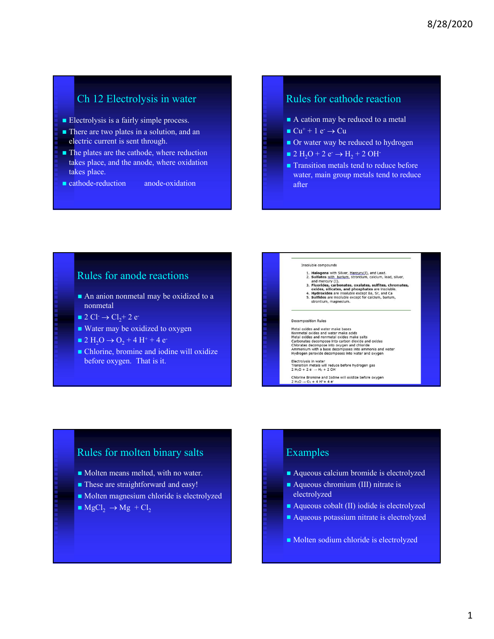- 
- Ch 12 Electrolysis in water **Electrolysis in water** Rules for cathool<br> **Electrolysis is a fairly simple process.**<br> **Electrolysis is a fairly simple process.**<br> **Electrolysis in a solution, and an**<br> **Electrolysis in a solut** electric current is sent through.
- The plates are the cathode, where reduction takes place, and the anode, where oxidation takes place.
- cathode-reduction anode-oxidation

## Rules for cathode reaction

- 
- $\blacksquare$  Cu<sup>+</sup> + 1 e<sup>-</sup>  $\rightarrow$  Cu
- Or water way be reduced to hydrogen
- $\blacksquare$  2 H<sub>2</sub>O + 2 e<sup>-</sup>  $\rightarrow$  H<sub>2</sub> + 2 OH<sup>-</sup>
- 8/28/2020<br>
Rules for cathode reaction<br>
 A cation may be reduced to a metal<br>
 Cu<sup>+</sup> + 1 e<sup>-</sup> → Cu<br>
 Or water way be reduced to hydrogen<br>
 2 H<sub>2</sub>O + 2 e<sup>-</sup> → H<sub>2</sub> + 2 OH<sup>-</sup><br>
 Transition metals tend to reduce before ■ Transition metals tend to reduce before water, main group metals tend to reduce after

### Rules for anode reactions

- An anion nonmetal may be oxidized to a nonmetal
- $2 \text{ Cl}_2 + 2 \text{ e}$
- Water may be oxidized to oxygen
- $\blacksquare$  2 H<sub>2</sub>O  $\rightarrow$  O<sub>2</sub> + 4 H<sup>+</sup> + 4 e<sup>-</sup>
- Chlorine, bromine and iodine will oxidize before oxygen. That is it.



- 1. Halogens with Silver,  $M_{\text{REULY}}(1)$ , and Lead.<br>
2. Sulfates with Silver,  $M_{\text{REULY}}(1)$ , and thereury (1).<br>
and mercury (1).<br>
3. Fluorides, carbonates, oxalates, sulfites, chromates,<br>
3. Fluorides, siltates, and phosp
- 
- strontium, magnesium.

Metal oxides and water make bases<br>
Nonmetal oxides and water make acids<br>
Metal oxides and nonmetal oxides make salts<br>
Metal oxides and nonmetal oxides make salts<br>
Carbonates decompose into carbon dioxide and oxides<br>
Chibra

Electrolysis in water<br>Transition metals will reduce before hydrogen gas<br>2 H<sub>2</sub>O + 2 e<sup>-</sup> → H<sub>2</sub> + 2 OH<sup>-</sup>

Chlorine Bromine and Iodine will oxidize before oxygen<br>2 H<sub>2</sub>O  $\rightarrow$  O<sub>2</sub> + 4 H<sup>+</sup> + 4 e<sup>-</sup>

### Rules for molten binary salts

- Molten means melted, with no water.
- **These are straightforward and easy!**
- Molten magnesium chloride is electrolyzed
- $MgCl_2 \rightarrow Mg + Cl_2$

# Examples

- Aqueous calcium bromide is electrolyzed
- Aqueous chromium (III) nitrate is electrolyzed
- Aqueous cobalt (II) iodide is electrolyzed
- Aqueous potassium nitrate is electrolyzed
- Molten sodium chloride is electrolyzed